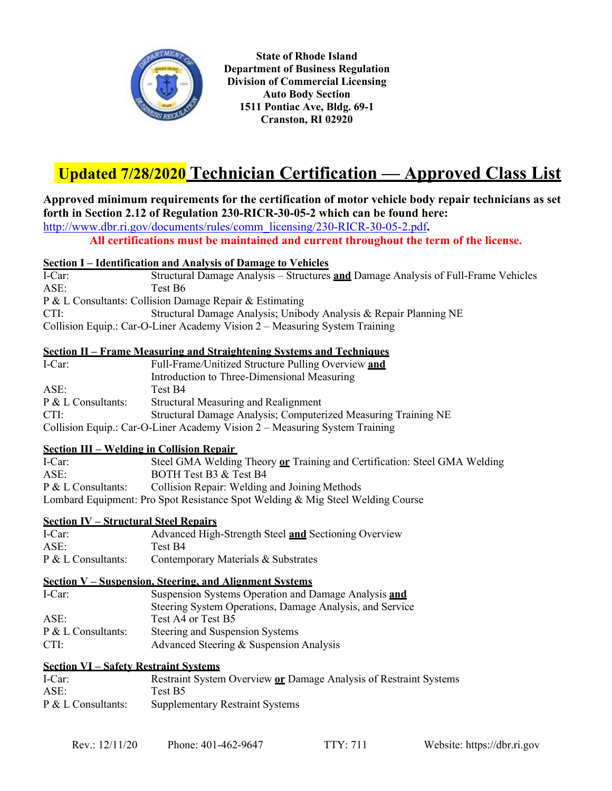

**State of Rhode Island Department of Business Regulation Division of Commercial Licensing Auto Body Section 1511 Pontiac Ave, Bldg. 69-1 Cranston, RI 02920**

# **Updated 7/28/2020 Technician Certification — Approved Class List**

# **Approved minimum requirements for the certification of motor vehicle body repair technicians as set forth in Section 2.12 of Regulation 230-RICR-30-05-2 which can be found here:**  [http://www.dbr.ri.gov/documents/rules/comm\\_licensing/230-RICR-30-05-2.pdf](http://www.dbr.ri.gov/documents/rules/comm_licensing/230-RICR-30-05-2.pdf)**.**

**All certifications must be maintained and current throughout the term of the license.**

## **Section I – Identification and Analysis of Damage to Vehicles**

I-Car: Structural Damage Analysis – Structures **and** Damage Analysis of Full-Frame Vehicles ASE: Test B6 P & L Consultants: Collision Damage Repair & Estimating CTI: Structural Damage Analysis; Unibody Analysis & Repair Planning NE Collision Equip.: Car-O-Liner Academy Vision 2 – Measuring System Training

## **Section II – Frame Measuring and Straightening Systems and Techniques**

| I-Car:                                                                     | Full-Frame/Unitized Structure Pulling Overview and             |  |
|----------------------------------------------------------------------------|----------------------------------------------------------------|--|
|                                                                            | Introduction to Three-Dimensional Measuring                    |  |
| ASE:                                                                       | Test B4                                                        |  |
| $P & L$ Consultants:                                                       | Structural Measuring and Realignment                           |  |
| CTI:                                                                       | Structural Damage Analysis; Computerized Measuring Training NE |  |
| Collision Equip.: Car-O-Liner Academy Vision 2 – Measuring System Training |                                                                |  |

# **Section III – Welding in Collision Repair**

I-Car: Steel GMA Welding Theory **or** Training and Certification: Steel GMA Welding ASE: BOTH Test B3 & Test B4 BOTH Test B3 & Test B4 P & L Consultants: Collision Repair: Welding and Joining Methods Lombard Equipment: Pro Spot Resistance Spot Welding & Mig Steel Welding Course

# **Section IV – Structural Steel Repairs**

| ICar:                | Advanced High-Strength Steel and Sectioning Overview |
|----------------------|------------------------------------------------------|
| ASE:                 | Test B4                                              |
| $P & L$ Consultants: | Contemporary Materials & Substrates                  |

# **Section V – Suspension, Steering, and Alignment Systems**

| I-Car:             | Suspension Systems Operation and Damage Analysis and     |
|--------------------|----------------------------------------------------------|
|                    | Steering System Operations, Damage Analysis, and Service |
| ASE:               | Test A4 or Test B5                                       |
| P & L Consultants: | Steering and Suspension Systems                          |
| CTI:               | Advanced Steering & Suspension Analysis                  |

#### **Section VI – Safety Restraint Systems**

| ICar:                | Restraint System Overview or Damage Analysis of Restraint Systems |
|----------------------|-------------------------------------------------------------------|
| ASE:                 | Test B5                                                           |
| $P & L$ Consultants: | <b>Supplementary Restraint Systems</b>                            |